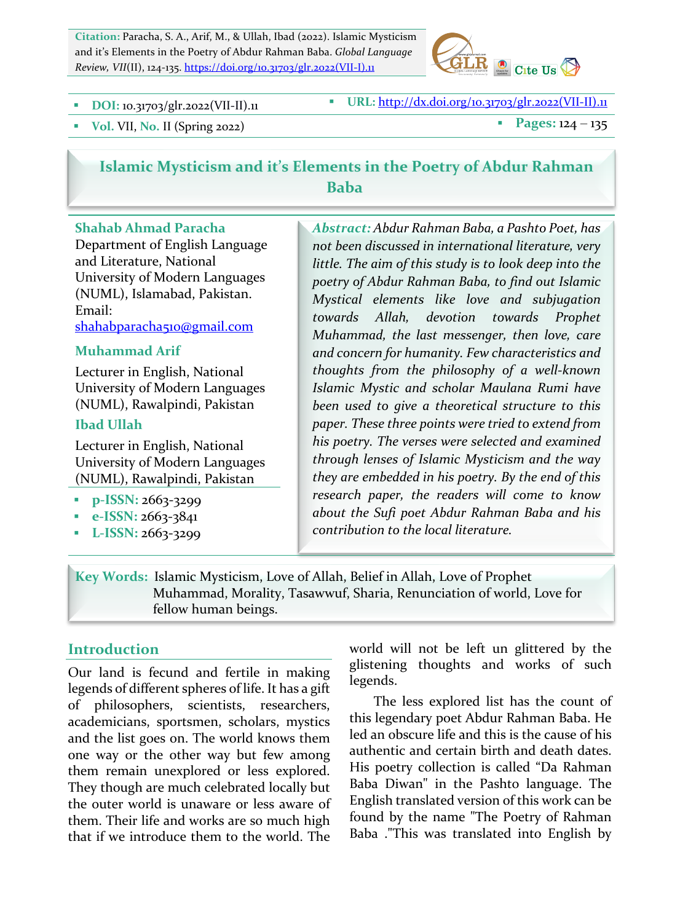Citation: Paracha, S. A., Arif, M., & Ullah, Ibad (2022). Islamic Mysticism and it's Elements in the Poetry of Abdur Rahman Baba. *Global Language Review, VII*(II), 124-135. https://doi.org/10.31703/glr.2022(VII-I).11



**DOI:** 10.31703/glr.2022(VII-II).11 **BEE**: http://dx.doi.org/10.31703/glr.2022(VII-II).11

**• Pages:**  $124 - 135$ 

# **Islamic Mysticism and it's Elements in the Poetry of Abdur Rahman Baba**

### **Shahab Ahmad Paracha**

Department of English Language and Literature, National University of Modern Languages (NUML), Islamabad, Pakistan. Email: shahabparacha510@gmail.com

### **Muhammad Arif**

Lecturer in English, National University of Modern Languages (NUML), Rawalpindi, Pakistan

#### **Ibad Ullah**

Lecturer in English, National University of Modern Languages (NUML), Rawalpindi, Pakistan

- **p-ISSN: 2663-3299**
- § **e-ISSN:** 2663-3841
- **L-ISSN: 2663-3299**

*Abstract: Abdur Rahman Baba, a Pashto Poet, has not been discussed in international literature, very*  little. The aim of this study is to look deep into the *poetry of Abdur Rahman Baba, to find out Islamic Mystical elements like love and subjugation towards Allah, devotion towards Prophet Muhammad, the last messenger, then love, care* and concern for humanity. Few characteristics and *thoughts from the philosophy of a well-known Islamic Mystic and scholar Maulana Rumi have*  been used to give a theoretical structure to this paper. These three points were tried to extend from his poetry. The verses were selected and examined *through lenses of Islamic Mysticism and the way*  they are embedded in his poetry. By the end of this research paper, the readers will come to know about the Sufi poet Abdur Rahman Baba and his *contribution to the local literature.*

**Key Words:** Islamic Mysticism, Love of Allah, Belief in Allah, Love of Prophet Muhammad, Morality, Tasawwuf, Sharia, Renunciation of world, Love for fellow human beings.

### **Introduction**

Our land is fecund and fertile in making legends of different spheres of life. It has a gift of philosophers, scientists, researchers, academicians, sportsmen, scholars, mystics and the list goes on. The world knows them one way or the other way but few among them remain unexplored or less explored. They though are much celebrated locally but the outer world is unaware or less aware of them. Their life and works are so much high that if we introduce them to the world. The world will not be left un glittered by the glistening thoughts and works of such legends. 

The less explored list has the count of this legendary poet Abdur Rahman Baba. He led an obscure life and this is the cause of his authentic and certain birth and death dates. His poetry collection is called "Da Rahman Baba Diwan" in the Pashto language. The English translated version of this work can be found by the name "The Poetry of Rahman Baba ."This was translated into English by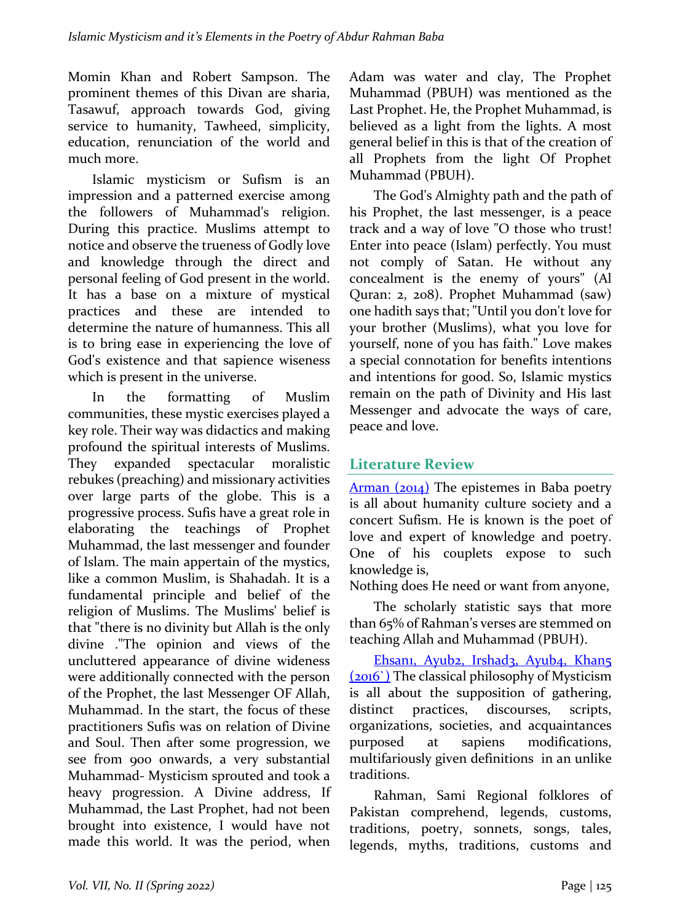Momin Khan and Robert Sampson. The prominent themes of this Divan are sharia, Tasawuf, approach towards God, giving service to humanity, Tawheed, simplicity, education, renunciation of the world and much more.

Islamic mysticism or Sufism is an impression and a patterned exercise among the followers of Muhammad's religion. During this practice. Muslims attempt to notice and observe the trueness of Godly love and knowledge through the direct and personal feeling of God present in the world. It has a base on a mixture of mystical practices and these are intended to determine the nature of humanness. This all is to bring ease in experiencing the love of God's existence and that sapience wiseness which is present in the universe.

In the formatting of Muslim communities, these mystic exercises played a key role. Their way was didactics and making profound the spiritual interests of Muslims. They expanded spectacular moralistic rebukes (preaching) and missionary activities over large parts of the globe. This is a progressive process. Sufis have a great role in elaborating the teachings of Prophet Muhammad, the last messenger and founder of Islam. The main appertain of the mystics, like a common Muslim, is Shahadah. It is a fundamental principle and belief of the religion of Muslims. The Muslims' belief is that "there is no divinity but Allah is the only divine ."The opinion and views of the uncluttered appearance of divine wideness were additionally connected with the person of the Prophet, the last Messenger OF Allah, Muhammad. In the start, the focus of these practitioners Sufis was on relation of Divine and Soul. Then after some progression, we see from 900 onwards, a very substantial Muhammad- Mysticism sprouted and took a heavy progression. A Divine address, If Muhammad, the Last Prophet, had not been brought into existence, I would have not made this world. It was the period, when Adam was water and clay, The Prophet Muhammad (PBUH) was mentioned as the Last Prophet. He, the Prophet Muhammad, is believed as a light from the lights. A most general belief in this is that of the creation of all Prophets from the light Of Prophet Muhammad (PBUH).

The God's Almighty path and the path of his Prophet, the last messenger, is a peace track and a way of love "O those who trust! Enter into peace (Islam) perfectly. You must not comply of Satan. He without any concealment is the enemy of yours" (Al Quran: 2, 208). Prophet Muhammad (saw) one hadith says that; "Until you don't love for your brother (Muslims), what you love for yourself, none of you has faith." Love makes a special connotation for benefits intentions and intentions for good. So, Islamic mystics remain on the path of Divinity and His last Messenger and advocate the ways of care, peace and love.

## **Literature Review**

 $A$ rman  $(2014)$  The epistemes in Baba poetry is all about humanity culture society and a concert Sufism. He is known is the poet of love and expert of knowledge and poetry. One of his couplets expose to such knowledge is,

Nothing does He need or want from anyone,

The scholarly statistic says that more than 65% of Rahman's verses are stemmed on teaching Allah and Muhammad (PBUH).

Ehsanı, Ayub2, Irshad3, Ayub4, Khan5 (2016) The classical philosophy of Mysticism is all about the supposition of gathering, distinct practices, discourses, scripts, organizations, societies, and acquaintances purposed at sapiens modifications, multifariously given definitions in an unlike traditions.

Rahman, Sami Regional folklores of Pakistan comprehend, legends, customs, traditions, poetry, sonnets, songs, tales, legends, myths, traditions, customs and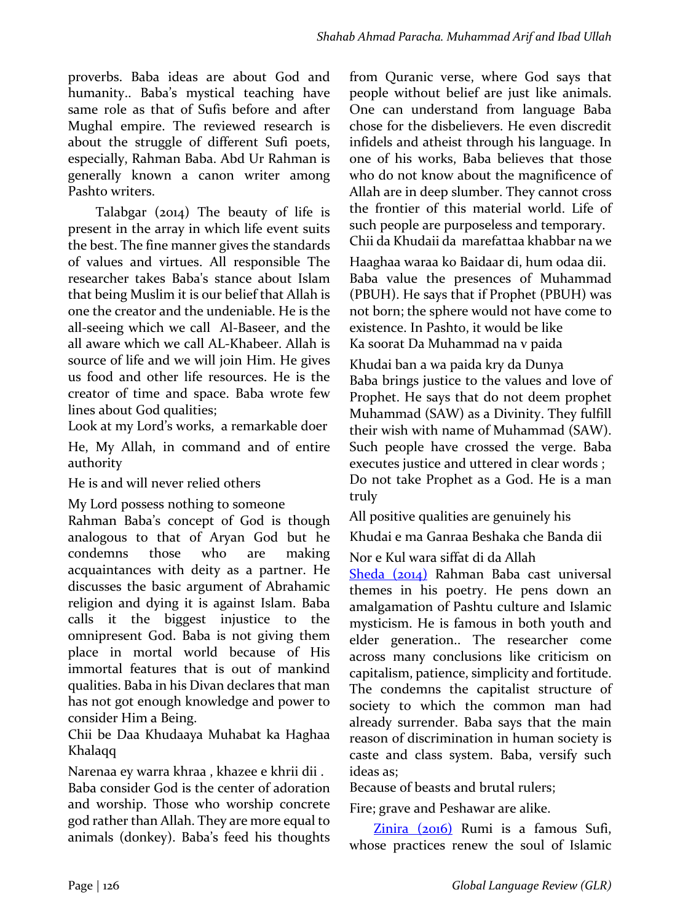proverbs. Baba ideas are about God and humanity.. Baba's mystical teaching have same role as that of Sufis before and after Mughal empire. The reviewed research is about the struggle of different Sufi poets, especially, Rahman Baba. Abd Ur Rahman is generally known a canon writer among Pashto writers.

Talabgar  $(2014)$  The beauty of life is present in the array in which life event suits the best. The fine manner gives the standards of values and virtues. All responsible The researcher takes Baba's stance about Islam that being Muslim it is our belief that Allah is one the creator and the undeniable. He is the all-seeing which we call Al-Baseer, and the all aware which we call AL-Khabeer. Allah is source of life and we will join Him. He gives us food and other life resources. He is the creator of time and space. Baba wrote few lines about God qualities;

Look at my Lord's works, a remarkable doer He, My Allah, in command and of entire authority

He is and will never relied others

My Lord possess nothing to someone

Rahman Baba's concept of God is though analogous to that of Aryan God but he condemns those who are making acquaintances with deity as a partner. He discusses the basic argument of Abrahamic religion and dying it is against Islam. Baba calls it the biggest injustice to the omnipresent God. Baba is not giving them place in mortal world because of His immortal features that is out of mankind qualities. Baba in his Divan declares that man has not got enough knowledge and power to consider Him a Being.

Chii be Daa Khudaaya Muhabat ka Haghaa Khalaqq

Narenaa ey warra khraa, khazee e khrii dii . Baba consider God is the center of adoration and worship. Those who worship concrete god rather than Allah. They are more equal to animals (donkey). Baba's feed his thoughts from Quranic verse, where God says that people without belief are just like animals. One can understand from language Baba chose for the disbelievers. He even discredit infidels and atheist through his language. In one of his works, Baba believes that those who do not know about the magnificence of Allah are in deep slumber. They cannot cross the frontier of this material world. Life of such people are purposeless and temporary. Chii da Khudaii da marefattaa khabbar na we

Haaghaa waraa ko Baidaar di, hum odaa dii. Baba value the presences of Muhammad (PBUH). He says that if Prophet (PBUH) was not born; the sphere would not have come to existence. In Pashto, it would be like Ka soorat Da Muhammad na v paida

Khudai ban a wa paida kry da Dunya Baba brings justice to the values and love of Prophet. He says that do not deem prophet Muhammad (SAW) as a Divinity. They fulfill their wish with name of Muhammad (SAW). Such people have crossed the verge. Baba executes justice and uttered in clear words ; Do not take Prophet as a God. He is a man truly

All positive qualities are genuinely his

Khudai e ma Ganraa Beshaka che Banda dii

Nor e Kul wara siffat di da Allah

Sheda (2014) Rahman Baba cast universal themes in his poetry. He pens down an amalgamation of Pashtu culture and Islamic mysticism. He is famous in both youth and elder generation.. The researcher come across many conclusions like criticism on capitalism, patience, simplicity and fortitude. The condemns the capitalist structure of society to which the common man had already surrender. Baba says that the main reason of discrimination in human society is caste and class system. Baba, versify such ideas as:

Because of beasts and brutal rulers;

Fire; grave and Peshawar are alike.

Zinira (2016) Rumi is a famous Sufi, whose practices renew the soul of Islamic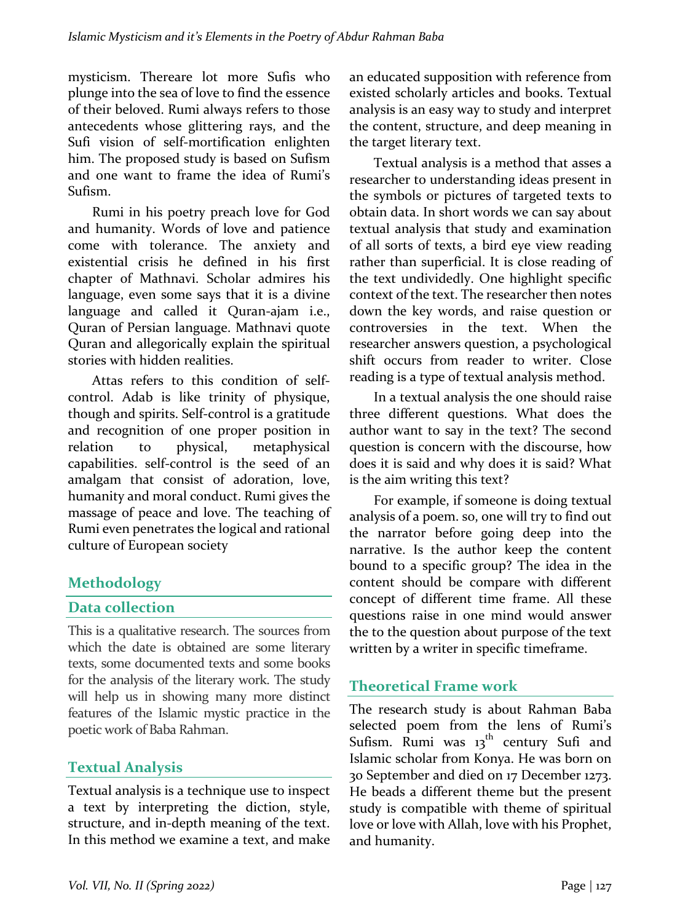mysticism. Thereare lot more Sufis who plunge into the sea of love to find the essence of their beloved. Rumi always refers to those antecedents whose glittering rays, and the Sufi vision of self-mortification enlighten him. The proposed study is based on Sufism and one want to frame the idea of Rumi's Sufism. 

Rumi in his poetry preach love for God and humanity. Words of love and patience come with tolerance. The anxiety and existential crisis he defined in his first chapter of Mathnavi. Scholar admires his language, even some says that it is a divine language and called it Quran-ajam i.e., Quran of Persian language. Mathnavi quote Quran and allegorically explain the spiritual stories with hidden realities.

Attas refers to this condition of selfcontrol. Adab is like trinity of physique, though and spirits. Self-control is a gratitude and recognition of one proper position in relation to physical, metaphysical capabilities. self-control is the seed of an amalgam that consist of adoration, love, humanity and moral conduct. Rumi gives the massage of peace and love. The teaching of Rumi even penetrates the logical and rational culture of European society

## **Methodology**

## **Data collection**

This is a qualitative research. The sources from which the date is obtained are some literary texts, some documented texts and some books for the analysis of the literary work. The study will help us in showing many more distinct features of the Islamic mystic practice in the poetic work of Baba Rahman.

## **Textual Analysis**

Textual analysis is a technique use to inspect a text by interpreting the diction, style, structure, and in-depth meaning of the text. In this method we examine a text, and make an educated supposition with reference from existed scholarly articles and books. Textual analysis is an easy way to study and interpret the content, structure, and deep meaning in the target literary text.

Textual analysis is a method that asses a researcher to understanding ideas present in the symbols or pictures of targeted texts to obtain data. In short words we can say about textual analysis that study and examination of all sorts of texts, a bird eye view reading rather than superficial. It is close reading of the text undividedly. One highlight specific context of the text. The researcher then notes down the key words, and raise question or controversies in the text. When the researcher answers question, a psychological shift occurs from reader to writer. Close reading is a type of textual analysis method.

In a textual analysis the one should raise three different questions. What does the author want to say in the text? The second question is concern with the discourse, how does it is said and why does it is said? What is the aim writing this text?

For example, if someone is doing textual analysis of a poem. so, one will try to find out the narrator before going deep into the narrative. Is the author keep the content bound to a specific group? The idea in the content should be compare with different concept of different time frame. All these questions raise in one mind would answer the to the question about purpose of the text written by a writer in specific timeframe.

# **Theoretical Frame work**

The research study is about Rahman Baba selected poem from the lens of Rumi's Sufism. Rumi was  $13<sup>th</sup>$  century Sufi and Islamic scholar from Konya. He was born on 30 September and died on 17 December 1273. He beads a different theme but the present study is compatible with theme of spiritual love or love with Allah, love with his Prophet, and humanity.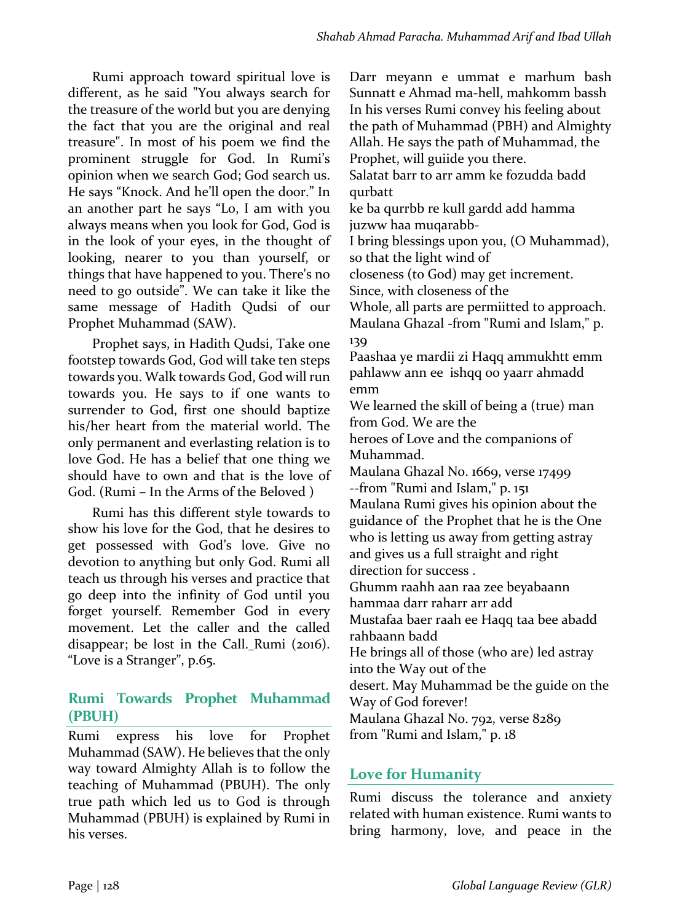Darr meyann e ummat e marhum bash Sunnatt e Ahmad ma-hell, mahkomm bassh

Rumi approach toward spiritual love is different, as he said "You always search for the treasure of the world but you are denying the fact that you are the original and real treasure". In most of his poem we find the prominent struggle for God. In Rumi's opinion when we search God; God search us. He says "Knock. And he'll open the door." In an another part he says "Lo, I am with you always means when you look for God, God is in the look of your eyes, in the thought of looking, nearer to you than yourself, or things that have happened to you. There's no need to go outside". We can take it like the same message of Hadith Qudsi of our Prophet Muhammad (SAW).

Prophet says, in Hadith Qudsi, Take one footstep towards God, God will take ten steps towards you. Walk towards God, God will run towards you. He says to if one wants to surrender to God, first one should baptize his/her heart from the material world. The only permanent and everlasting relation is to love God. He has a belief that one thing we should have to own and that is the love of God. (Rumi – In the Arms of the Beloved)

Rumi has this different style towards to show his love for the God, that he desires to get possessed with God's love. Give no devotion to anything but only God. Rumi all teach us through his verses and practice that go deep into the infinity of God until you forget yourself. Remember God in every movement. Let the caller and the called disappear; be lost in the Call. Rumi  $(2016)$ . "Love is a Stranger", p.65.

## **Rumi Towards Prophet Muhammad (PBUH)**

Rumi express his love for Prophet Muhammad (SAW). He believes that the only way toward Almighty Allah is to follow the teaching of Muhammad (PBUH). The only true path which led us to God is through Muhammad (PBUH) is explained by Rumi in his verses.

In his verses Rumi convey his feeling about the path of Muhammad (PBH) and Almighty Allah. He says the path of Muhammad, the Prophet, will guiide you there. Salatat barr to arr amm ke fozudda badd qurbatt ke ba qurrbb re kull gardd add hamma juzww haa muqarabb-I bring blessings upon you, (O Muhammad), so that the light wind of closeness (to God) may get increment. Since, with closeness of the Whole, all parts are permiitted to approach. Maulana Ghazal -from "Rumi and Islam," p. 139 Paashaa ye mardii zi Haqq ammukhtt emm pahlaww ann ee ishqq oo yaarr ahmadd emm We learned the skill of being a (true) man from God. We are the heroes of Love and the companions of Muhammad. Maulana Ghazal No. 1669, verse 17499 --from "Rumi and Islam," p. 151 Maulana Rumi gives his opinion about the guidance of the Prophet that he is the One who is letting us away from getting astray and gives us a full straight and right direction for success. Ghumm raahh aan raa zee beyabaann hammaa darr raharr arr add Mustafaa baer raah ee Haqq taa bee abadd rahbaann badd He brings all of those (who are) led astray into the Way out of the desert. May Muhammad be the guide on the Way of God forever! Maulana Ghazal No. 792, verse 8289 from "Rumi and Islam," p. 18

## Love for Humanity

Rumi discuss the tolerance and anxiety related with human existence. Rumi wants to bring harmony, love, and peace in the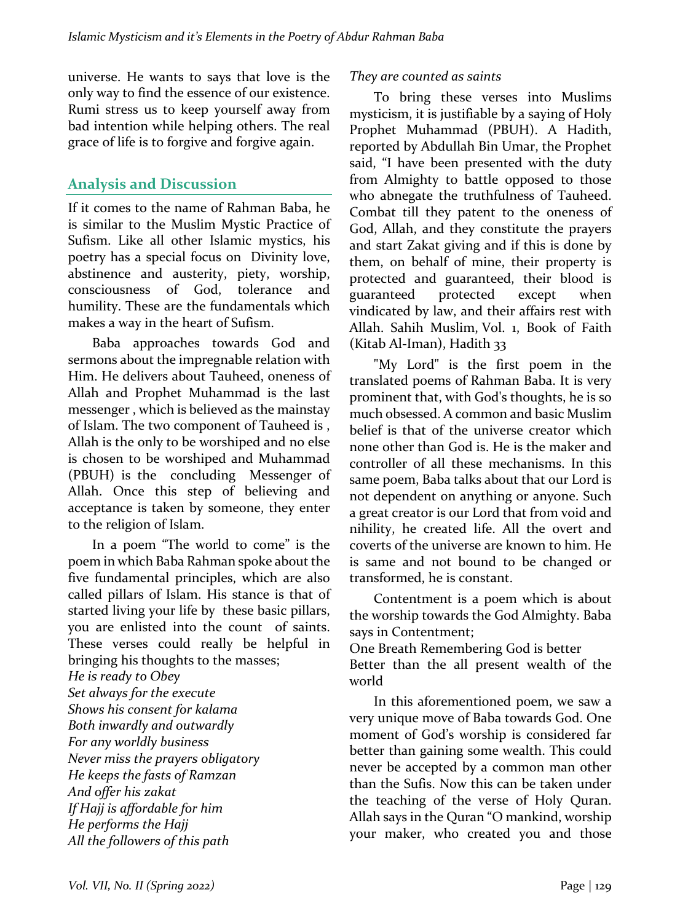universe. He wants to says that love is the only way to find the essence of our existence. Rumi stress us to keep yourself away from bad intention while helping others. The real grace of life is to forgive and forgive again.

## **Analysis and Discussion**

If it comes to the name of Rahman Baba, he is similar to the Muslim Mystic Practice of Sufism. Like all other Islamic mystics, his poetry has a special focus on Divinity love, abstinence and austerity, piety, worship, consciousness of God, tolerance and humility. These are the fundamentals which makes a way in the heart of Sufism.

Baba approaches towards God and sermons about the impregnable relation with Him. He delivers about Tauheed, oneness of Allah and Prophet Muhammad is the last messenger, which is believed as the mainstay of Islam. The two component of Tauheed is, Allah is the only to be worshiped and no else is chosen to be worshiped and Muhammad (PBUH) is the concluding Messenger of Allah. Once this step of believing and acceptance is taken by someone, they enter to the religion of Islam.

In a poem "The world to come" is the poem in which Baba Rahman spoke about the five fundamental principles, which are also called pillars of Islam. His stance is that of started living your life by these basic pillars, you are enlisted into the count of saints. These verses could really be helpful in bringing his thoughts to the masses; *He is ready to Obey Set always for the execute Shows his consent for kalama Both inwardly and outwardly For any worldly business Never miss the prayers obligatory He keeps the fasts of Ramzan And offer his zakat If Hajj is affordable for him He performs the Hajj* All the followers of this path

#### *They are counted as saints*

To bring these verses into Muslims mysticism, it is justifiable by a saying of Holy Prophet Muhammad (PBUH). A Hadith, reported by Abdullah Bin Umar, the Prophet said, "I have been presented with the duty from Almighty to battle opposed to those who abnegate the truthfulness of Tauheed. Combat till they patent to the oneness of God, Allah, and they constitute the prayers and start Zakat giving and if this is done by them, on behalf of mine, their property is protected and guaranteed, their blood is guaranteed protected except when vindicated by law, and their affairs rest with Allah. Sahih Muslim, Vol. 1, Book of Faith  $(Kitab$  Al-Iman), Hadith 33

"My Lord" is the first poem in the translated poems of Rahman Baba. It is very prominent that, with God's thoughts, he is so much obsessed. A common and basic Muslim belief is that of the universe creator which none other than God is. He is the maker and controller of all these mechanisms. In this same poem, Baba talks about that our Lord is not dependent on anything or anyone. Such a great creator is our Lord that from void and nihility, he created life. All the overt and coverts of the universe are known to him. He is same and not bound to be changed or transformed, he is constant.

Contentment is a poem which is about the worship towards the God Almighty. Baba says in Contentment;

One Breath Remembering God is better Better than the all present wealth of the world

In this aforementioned poem, we saw a very unique move of Baba towards God. One moment of God's worship is considered far better than gaining some wealth. This could never be accepted by a common man other than the Sufis. Now this can be taken under the teaching of the verse of Holy Quran. Allah says in the Quran "O mankind, worship your maker, who created you and those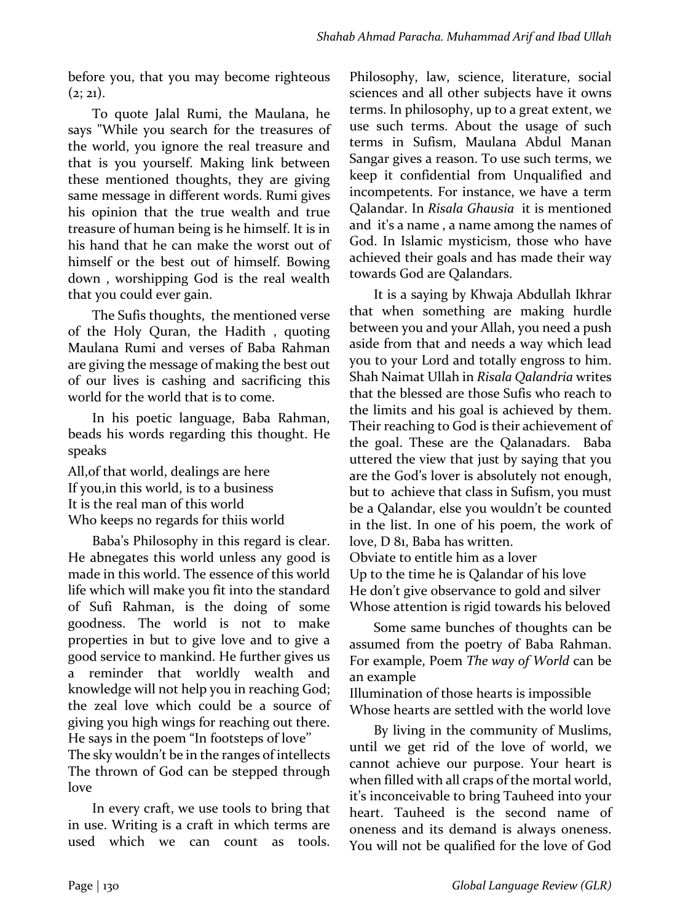before you, that you may become righteous  $(2; 21)$ .

To quote Jalal Rumi, the Maulana, he says "While you search for the treasures of the world, you ignore the real treasure and that is you yourself. Making link between these mentioned thoughts, they are giving same message in different words. Rumi gives his opinion that the true wealth and true treasure of human being is he himself. It is in his hand that he can make the worst out of himself or the best out of himself. Bowing down, worshipping God is the real wealth that you could ever gain.

The Sufis thoughts, the mentioned verse of the Holy Ouran, the Hadith, quoting Maulana Rumi and verses of Baba Rahman are giving the message of making the best out of our lives is cashing and sacrificing this world for the world that is to come.

In his poetic language, Baba Rahman, beads his words regarding this thought. He speaks 

All, of that world, dealings are here If you, in this world, is to a business It is the real man of this world Who keeps no regards for thiis world

Baba's Philosophy in this regard is clear. He abnegates this world unless any good is made in this world. The essence of this world life which will make you fit into the standard of Sufi Rahman, is the doing of some goodness. The world is not to make properties in but to give love and to give a good service to mankind. He further gives us a reminder that worldly wealth and knowledge will not help you in reaching God; the zeal love which could be a source of giving you high wings for reaching out there. He says in the poem "In footsteps of love"

The sky wouldn't be in the ranges of intellects The thrown of God can be stepped through love

In every craft, we use tools to bring that in use. Writing is a craft in which terms are used which we can count as tools.

Philosophy, law, science, literature, social sciences and all other subjects have it owns terms. In philosophy, up to a great extent, we use such terms. About the usage of such terms in Sufism, Maulana Abdul Manan Sangar gives a reason. To use such terms, we keep it confidential from Unqualified and incompetents. For instance, we have a term Qalandar. In *Risala Ghausia* it is mentioned and it's a name, a name among the names of God. In Islamic mysticism, those who have achieved their goals and has made their way towards God are Qalandars.

It is a saying by Khwaja Abdullah Ikhrar that when something are making hurdle between you and your Allah, you need a push aside from that and needs a way which lead you to your Lord and totally engross to him. Shah Naimat Ullah in *Risala Oalandria* writes that the blessed are those Sufis who reach to the limits and his goal is achieved by them. Their reaching to God is their achievement of the goal. These are the Qalanadars. Baba uttered the view that just by saying that you are the God's lover is absolutely not enough, but to achieve that class in Sufism, you must be a Qalandar, else you wouldn't be counted in the list. In one of his poem, the work of love, D 81, Baba has written. Obviate to entitle him as a lover

Up to the time he is Oalandar of his love He don't give observance to gold and silver Whose attention is rigid towards his beloved

Some same bunches of thoughts can be assumed from the poetry of Baba Rahman. For example, Poem *The way of World* can be an example

Illumination of those hearts is impossible Whose hearts are settled with the world love

By living in the community of Muslims, until we get rid of the love of world, we cannot achieve our purpose. Your heart is when filled with all craps of the mortal world, it's inconceivable to bring Tauheed into your heart. Tauheed is the second name of oneness and its demand is always oneness. You will not be qualified for the love of God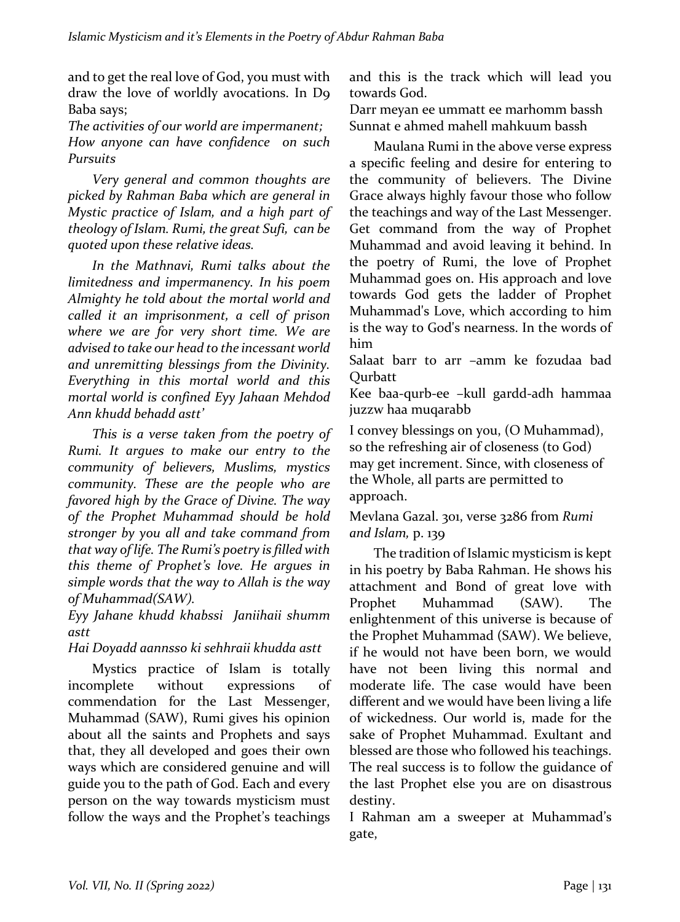and to get the real love of God, you must with draw the love of worldly avocations. In D9 Baba says;

The activities of our world are *impermanent*; *How anyone can have confidence on such Pursuits*

*Very general and common thoughts are picked by Rahman Baba which are general in Mystic practice of Islam, and a high part of theology of Islam. Rumi, the great Sufi, can be quoted upon these relative ideas.* 

In the Mathnavi, Rumi talks about the *limitedness and impermanency. In his poem*  Almighty he told about the mortal world and *called it an imprisonment, a cell of prison*  where we are for very short time. We are advised to take our head to the *incessant* world and unremitting blessings from the Divinity. Everything in this mortal world and this *mortal world is confined Eyy Jahaan Mehdod Ann khudd behadd astt'*

*This is a verse taken from the poetry of Rumi.* It argues to make our entry to the *community of believers, Muslims, mystics community. These are the people who are favored high by the Grace of Divine. The way of the Prophet Muhammad should be hold*  stronger by you all and take command from that way of life. The Rumi's poetry is filled with *this theme of Prophet's love. He argues in* simple words that the way to Allah is the way of Muhammad(SAW).

*Eyy Jahane khudd khabssi Janiihaii shumm astt*

### *Hai Doyadd aannsso ki sehhraii khudda astt*

Mystics practice of Islam is totally incomplete without expressions commendation for the Last Messenger, Muhammad (SAW), Rumi gives his opinion about all the saints and Prophets and says that, they all developed and goes their own ways which are considered genuine and will guide you to the path of God. Each and every person on the way towards mysticism must follow the ways and the Prophet's teachings and this is the track which will lead you towards God.

Darr meyan ee ummatt ee marhomm bassh Sunnat e ahmed mahell mahkuum bassh

Maulana Rumi in the above verse express a specific feeling and desire for entering to the community of believers. The Divine Grace always highly favour those who follow the teachings and way of the Last Messenger. Get command from the way of Prophet Muhammad and avoid leaving it behind. In the poetry of Rumi, the love of Prophet Muhammad goes on. His approach and love towards God gets the ladder of Prophet Muhammad's Love, which according to him is the way to God's nearness. In the words of him 

Salaat barr to arr -amm ke fozudaa bad **Ourbatt** 

Kee baa-qurb-ee -kull gardd-adh hammaa juzzw haa muqarabb

I convey blessings on you, (O Muhammad), so the refreshing air of closeness (to God) may get increment. Since, with closeness of the Whole, all parts are permitted to approach.

### Mevlana Gazal. 301, verse 3286 from *Rumi and Islam,* p. 139

The tradition of Islamic mysticism is kept in his poetry by Baba Rahman. He shows his attachment and Bond of great love with Prophet Muhammad (SAW). The enlightenment of this universe is because of the Prophet Muhammad (SAW). We believe, if he would not have been born, we would have not been living this normal and moderate life. The case would have been different and we would have been living a life of wickedness. Our world is, made for the sake of Prophet Muhammad. Exultant and blessed are those who followed his teachings. The real success is to follow the guidance of the last Prophet else you are on disastrous destiny. 

I Rahman am a sweeper at Muhammad's gate,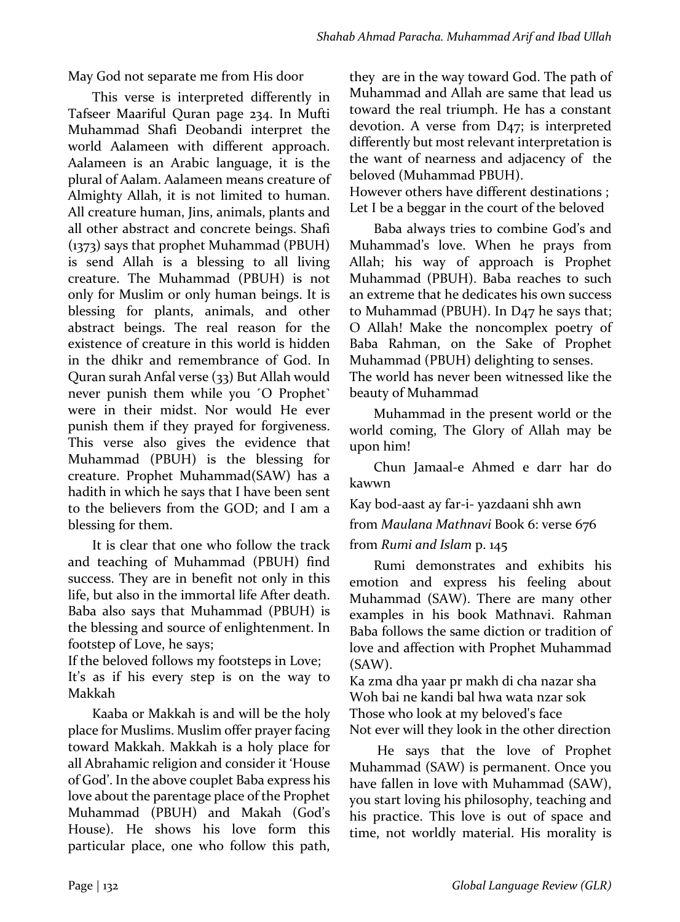May God not separate me from His door

This verse is interpreted differently in Tafseer Maariful Quran page 234. In Mufti Muhammad Shafi Deobandi interpret the world Aalameen with different approach. Aalameen is an Arabic language, it is the plural of Aalam. Aalameen means creature of Almighty Allah, it is not limited to human. All creature human, Jins, animals, plants and all other abstract and concrete beings. Shafi  $(1373)$  says that prophet Muhammad (PBUH) is send Allah is a blessing to all living creature. The Muhammad (PBUH) is not only for Muslim or only human beings. It is blessing for plants, animals, and other abstract beings. The real reason for the existence of creature in this world is hidden in the dhikr and remembrance of God. In Quran surah Anfal verse (33) But Allah would never punish them while you <sup>'</sup>O Prophet' were in their midst. Nor would He ever punish them if they prayed for forgiveness. This verse also gives the evidence that Muhammad (PBUH) is the blessing for creature. Prophet Muhammad(SAW) has a hadith in which he says that I have been sent to the believers from the GOD; and I am a blessing for them.

It is clear that one who follow the track and teaching of Muhammad (PBUH) find success. They are in benefit not only in this life, but also in the immortal life After death. Baba also says that Muhammad (PBUH) is the blessing and source of enlightenment. In footstep of Love, he says;

If the beloved follows my footsteps in Love;

It's as if his every step is on the way to Makkah

Kaaba or Makkah is and will be the holy place for Muslims. Muslim offer prayer facing toward Makkah. Makkah is a holy place for all Abrahamic religion and consider it 'House of God'. In the above couplet Baba express his love about the parentage place of the Prophet Muhammad (PBUH) and Makah (God's House). He shows his love form this particular place, one who follow this path,

they are in the way toward God. The path of Muhammad and Allah are same that lead us toward the real triumph. He has a constant devotion. A verse from  $D_{47}$ ; is interpreted differently but most relevant interpretation is the want of nearness and adjacency of the beloved (Muhammad PBUH).

However others have different destinations ; Let I be a beggar in the court of the beloved

Baba always tries to combine God's and Muhammad's love. When he prays from Allah; his way of approach is Prophet Muhammad (PBUH). Baba reaches to such an extreme that he dedicates his own success to Muhammad (PBUH). In D<sub>47</sub> he says that; O Allah! Make the noncomplex poetry of Baba Rahman, on the Sake of Prophet Muhammad (PBUH) delighting to senses. The world has never been witnessed like the beauty of Muhammad

Muhammad in the present world or the world coming, The Glory of Allah may be upon him!

Chun Jamaal-e Ahmed e darr har do kawwn

Kay bod-aast ay far-i- yazdaani shh awn from *Maulana Mathnavi* Book 6: verse 676 from *Rumi* and *Islam* p. 145

Rumi demonstrates and exhibits his emotion and express his feeling about Muhammad (SAW). There are many other examples in his book Mathnavi. Rahman Baba follows the same diction or tradition of love and affection with Prophet Muhammad (SAW). 

Ka zma dha yaar pr makh di cha nazar sha Woh bai ne kandi bal hwa wata nzar sok Those who look at my beloved's face Not ever will they look in the other direction

He says that the love of Prophet Muhammad (SAW) is permanent. Once you have fallen in love with Muhammad (SAW), you start loving his philosophy, teaching and his practice. This love is out of space and time, not worldly material. His morality is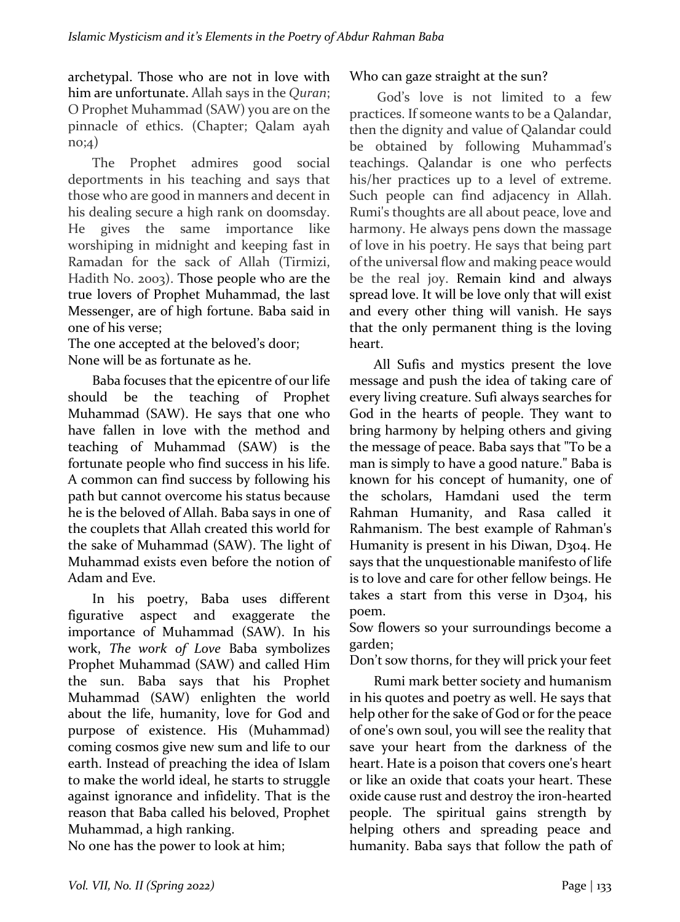archetypal. Those who are not in love with him are unfortunate. Allah says in the *Quran*; O Prophet Muhammad (SAW) you are on the pinnacle of ethics. (Chapter; Qalam ayah no;4)

The Prophet admires good social deportments in his teaching and says that those who are good in manners and decent in his dealing secure a high rank on doomsday. He gives the same importance like worshiping in midnight and keeping fast in Ramadan for the sack of Allah (Tirmizi, Hadith No. 2003). Those people who are the true lovers of Prophet Muhammad, the last Messenger, are of high fortune. Baba said in one of his verse:

The one accepted at the beloved's door; None will be as fortunate as he.

Baba focuses that the epicentre of our life should be the teaching of Prophet Muhammad (SAW). He says that one who have fallen in love with the method and teaching of Muhammad (SAW) is the fortunate people who find success in his life. A common can find success by following his path but cannot overcome his status because he is the beloved of Allah. Baba says in one of the couplets that Allah created this world for the sake of Muhammad (SAW). The light of Muhammad exists even before the notion of Adam and Eve.

In his poetry, Baba uses different figurative aspect and exaggerate the importance of Muhammad (SAW). In his work, *The work of Love* Baba symbolizes Prophet Muhammad (SAW) and called Him the sun. Baba says that his Prophet Muhammad (SAW) enlighten the world about the life, humanity, love for God and purpose of existence. His (Muhammad) coming cosmos give new sum and life to our earth. Instead of preaching the idea of Islam to make the world ideal, he starts to struggle against ignorance and infidelity. That is the reason that Baba called his beloved, Prophet Muhammad, a high ranking.

No one has the power to look at him;

### Who can gaze straight at the sun?

God's love is not limited to a few practices. If someone wants to be a Oalandar, then the dignity and value of Qalandar could be obtained by following Muhammad's teachings. Qalandar is one who perfects his/her practices up to a level of extreme. Such people can find adjacency in Allah. Rumi's thoughts are all about peace, love and harmony. He always pens down the massage of love in his poetry. He says that being part of the universal flow and making peace would be the real joy. Remain kind and always spread love. It will be love only that will exist and every other thing will vanish. He says that the only permanent thing is the loving heart. 

All Sufis and mystics present the love message and push the idea of taking care of every living creature. Sufi always searches for God in the hearts of people. They want to bring harmony by helping others and giving the message of peace. Baba says that "To be a man is simply to have a good nature." Baba is known for his concept of humanity, one of the scholars, Hamdani used the term Rahman Humanity, and Rasa called it Rahmanism. The best example of Rahman's Humanity is present in his Diwan, D304. He says that the unquestionable manifesto of life is to love and care for other fellow beings. He takes a start from this verse in D304, his poem.

Sow flowers so your surroundings become a garden;

Don't sow thorns, for they will prick your feet

Rumi mark better society and humanism in his quotes and poetry as well. He says that help other for the sake of God or for the peace of one's own soul, you will see the reality that save your heart from the darkness of the heart. Hate is a poison that covers one's heart or like an oxide that coats your heart. These oxide cause rust and destroy the iron-hearted people. The spiritual gains strength by helping others and spreading peace and humanity. Baba says that follow the path of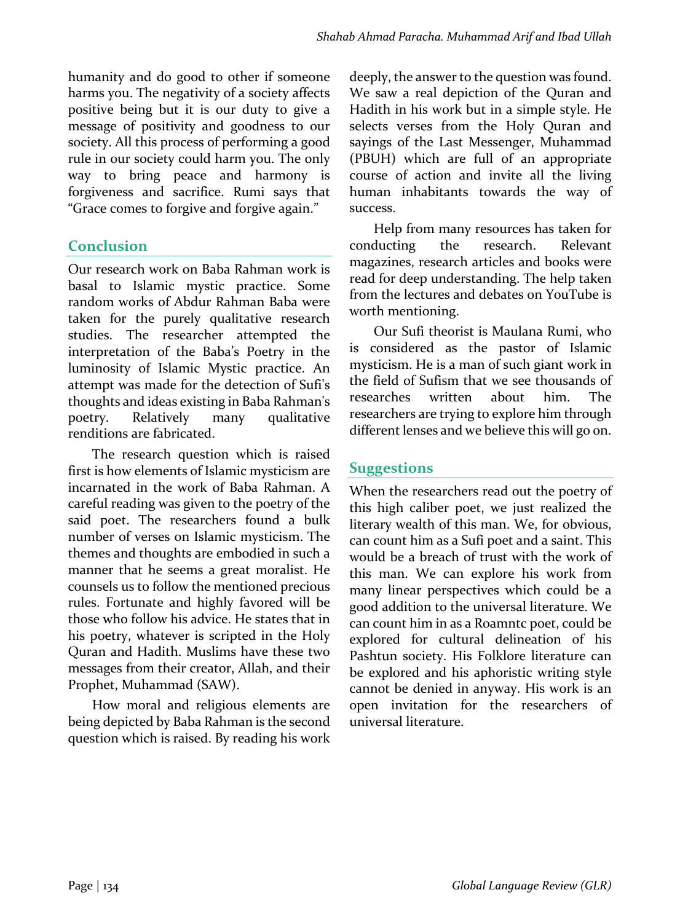humanity and do good to other if someone harms you. The negativity of a society affects positive being but it is our duty to give a message of positivity and goodness to our society. All this process of performing a good rule in our society could harm you. The only way to bring peace and harmony is forgiveness and sacrifice. Rumi says that "Grace comes to forgive and forgive again."

## **Conclusion**

Our research work on Baba Rahman work is basal to Islamic mystic practice. Some random works of Abdur Rahman Baba were taken for the purely qualitative research studies. The researcher attempted the interpretation of the Baba's Poetry in the luminosity of Islamic Mystic practice. An attempt was made for the detection of Sufi's thoughts and ideas existing in Baba Rahman's poetry. Relatively many qualitative renditions are fabricated.

The research question which is raised first is how elements of Islamic mysticism are incarnated in the work of Baba Rahman. A careful reading was given to the poetry of the said poet. The researchers found a bulk number of verses on Islamic mysticism. The themes and thoughts are embodied in such a manner that he seems a great moralist. He counsels us to follow the mentioned precious rules. Fortunate and highly favored will be those who follow his advice. He states that in his poetry, whatever is scripted in the Holy Ouran and Hadith. Muslims have these two messages from their creator, Allah, and their Prophet, Muhammad (SAW).

How moral and religious elements are being depicted by Baba Rahman is the second question which is raised. By reading his work deeply, the answer to the question was found. We saw a real depiction of the Quran and Hadith in his work but in a simple style. He selects verses from the Holy Quran and sayings of the Last Messenger, Muhammad (PBUH) which are full of an appropriate course of action and invite all the living human inhabitants towards the way of success. 

Help from many resources has taken for conducting the research. Relevant magazines, research articles and books were read for deep understanding. The help taken from the lectures and debates on YouTube is worth mentioning.

Our Sufi theorist is Maulana Rumi, who is considered as the pastor of Islamic mysticism. He is a man of such giant work in the field of Sufism that we see thousands of researches written about him. The researchers are trying to explore him through different lenses and we believe this will go on.

## **Suggestions**

When the researchers read out the poetry of this high caliber poet, we just realized the literary wealth of this man. We, for obvious, can count him as a Sufi poet and a saint. This would be a breach of trust with the work of this man. We can explore his work from many linear perspectives which could be a good addition to the universal literature. We can count him in as a Roamntc poet, could be explored for cultural delineation of his Pashtun society. His Folklore literature can be explored and his aphoristic writing style cannot be denied in anyway. His work is an open invitation for the researchers of universal literature.